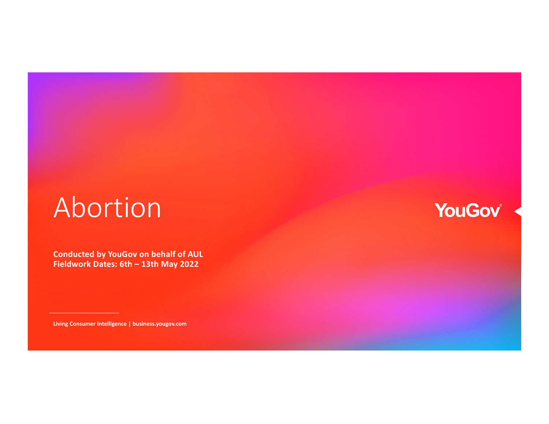# Abortion

**Conducted by YouGov on behalf of AUL Fieldwork Dates: 6th – 13th May 2022**

**Living Consumer Intelligence | business.yougov.com**

## YouGov®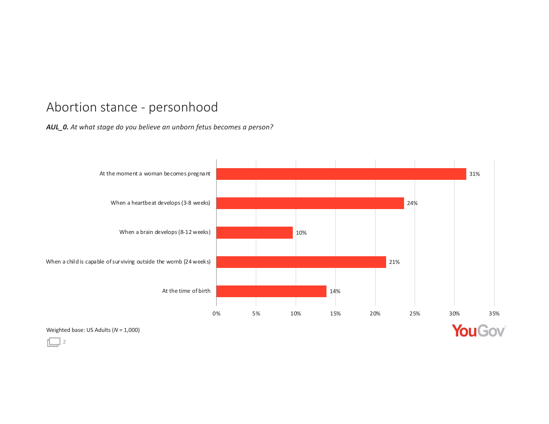#### Abortion stance - personhoo

#### *AUL\_0. At what stage do you believe an unborn fetus becomes a person?*



2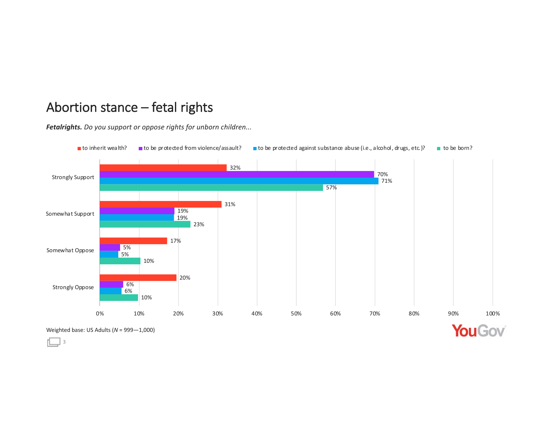#### Abortion stance – fetal rights

*Fetalrights. Do you support or oppose rights for unborn children...*

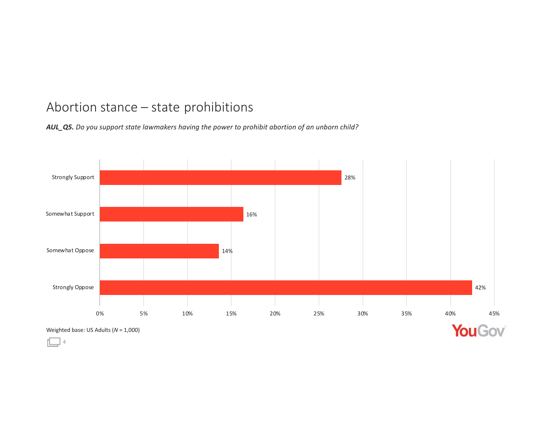#### Abortion stance - state prohibition

 $\mathbb{L}$  4

*AUL\_Q5. Do you support state lawmakers having the power to prohibit abortion of an unborn child?*

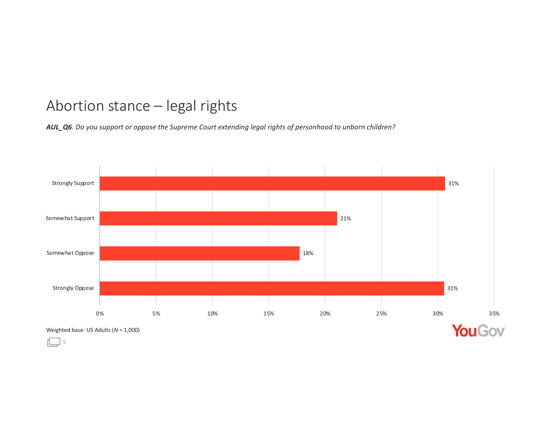### Abortion stance - legal rights

*AUL\_Q6. Do you support or oppose the Supreme Court extending legal rights of personhood to unborn children?*

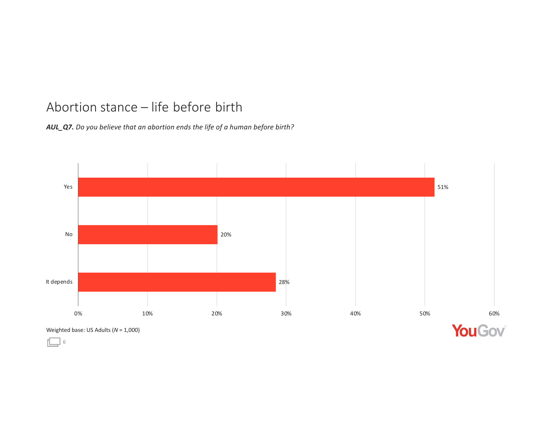#### Abortion stance - life before birt

*AUL\_Q7. Do you believe that an abortion ends the life of a human before birth?*



Weighted base: US Adults (*N* = 1,000)

 $\Box$  6

YouGov